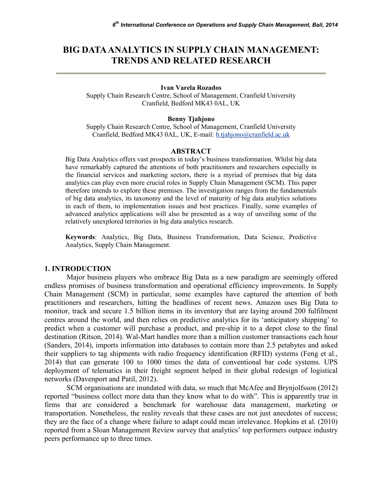# **BIG DATA ANALYTICS IN SUPPLY CHAIN MANAGEMENT: TRENDS AND RELATED RESEARCH**

#### **Ivan Varela Rozados**

Supply Chain Research Centre, School of Management, Cranfield University Cranfield, Bedford MK43 0AL, UK

#### **Benny Tjahjono**

Supply Chain Research Centre, School of Management, Cranfield University Cranfield, Bedford MK43 0AL, UK, E-mail: b.tjahjono@cranfield.ac.uk

#### **ABSTRACT**

Big Data Analytics offers vast prospects in today's business transformation. Whilst big data have remarkably captured the attentions of both practitioners and researchers especially in the financial services and marketing sectors, there is a myriad of premises that big data analytics can play even more crucial roles in Supply Chain Management (SCM). This paper therefore intends to explore these premises. The investigation ranges from the fundamentals of big data analytics, its taxonomy and the level of maturity of big data analytics solutions in each of them, to implementation issues and best practices. Finally, some examples of advanced analytics applications will also be presented as a way of unveiling some of the relatively unexplored territories in big data analytics research.

**Keywords**: Analytics, Big Data, Business Transformation, Data Science, Predictive Analytics, Supply Chain Management.

#### **1. INTRODUCTION**

Major business players who embrace Big Data as a new paradigm are seemingly offered endless promises of business transformation and operational efficiency improvements. In Supply Chain Management (SCM) in particular, some examples have captured the attention of both practitioners and researchers, hitting the headlines of recent news. Amazon uses Big Data to monitor, track and secure 1.5 billion items in its inventory that are laying around 200 fulfilment centres around the world, and then relies on predictive analytics for its 'anticipatory shipping' to predict when a customer will purchase a product, and pre-ship it to a depot close to the final destination (Ritson, 2014). Wal-Mart handles more than a million customer transactions each hour (Sanders, 2014), imports information into databases to contain more than 2.5 petabytes and asked their suppliers to tag shipments with radio frequency identification (RFID) systems (Feng et al., 2014) that can generate 100 to 1000 times the data of conventional bar code systems. UPS deployment of telematics in their freight segment helped in their global redesign of logistical networks (Davenport and Patil, 2012).

SCM organisations are inundated with data, so much that McAfee and Brynjolfsson (2012) reported "business collect more data than they know what to do with". This is apparently true in firms that are considered a benchmark for warehouse data management, marketing or transportation. Nonetheless, the reality reveals that these cases are not just anecdotes of success; they are the face of a change where failure to adapt could mean irrelevance. Hopkins et al. (2010) reported from a Sloan Management Review survey that analytics' top performers outpace industry peers performance up to three times.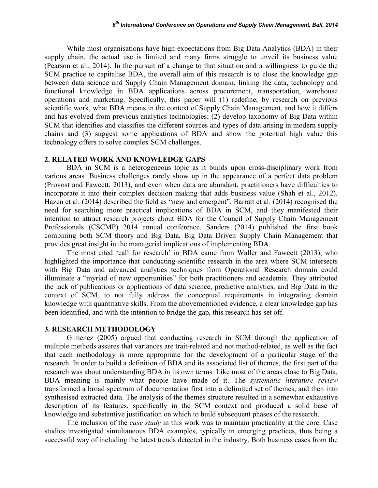While most organisations have high expectations from Big Data Analytics (BDA) in their supply chain, the actual use is limited and many firms struggle to unveil its business value (Pearson et al., 2014). In the pursuit of a change to that situation and a willingness to guide the SCM practice to capitalise BDA, the overall aim of this research is to close the knowledge gap between data science and Supply Chain Management domain, linking the data, technology and functional knowledge in BDA applications across procurement, transportation, warehouse operations and marketing. Specifically, this paper will (1) redefine, by research on previous scientific work, what BDA means in the context of Supply Chain Management, and how it differs and has evolved from previous analytics technologies; (2) develop taxonomy of Big Data within SCM that identifies and classifies the different sources and types of data arising in modern supply chains and (3) suggest some applications of BDA and show the potential high value this technology offers to solve complex SCM challenges.

### **2. RELATED WORK AND KNOWLEDGE GAPS**

BDA in SCM is a heterogeneous topic as it builds upon cross-disciplinary work from various areas. Business challenges rarely show up in the appearance of a perfect data problem (Provost and Fawcett, 2013), and even when data are abundant, practitioners have difficulties to incorporate it into their complex decision making that adds business value (Shah et al., 2012). Hazen et al. (2014) described the field as "new and emergent". Barratt et al. (2014) recognised the need for searching more practical implications of BDA in SCM, and they manifested their intention to attract research projects about BDA for the Council of Supply Chain Management Professionals (CSCMP) 2014 annual conference. Sanders (2014) published the first book combining both SCM theory and Big Data, Big Data Driven Supply Chain Management that provides great insight in the managerial implications of implementing BDA.

The most cited 'call for research' in BDA came from Waller and Fawcett (2013), who highlighted the importance that conducting scientific research in the area where SCM intersects with Big Data and advanced analytics techniques from Operational Research domain could illuminate a "myriad of new opportunities" for both practitioners and academia. They attributed the lack of publications or applications of data science, predictive analytics, and Big Data in the context of SCM, to not fully address the conceptual requirements in integrating domain knowledge with quantitative skills. From the abovementioned evidence, a clear knowledge gap has been identified, and with the intention to bridge the gap, this research has set off.

### **3. RESEARCH METHODOLOGY**

Gimenez (2005) argued that conducting research in SCM through the application of multiple methods assures that variances are trait-related and not method-related, as well as the fact that each methodology is more appropriate for the development of a particular stage of the research. In order to build a definition of BDA and its associated list of themes, the first part of the research was about understanding BDA in its own terms. Like most of the areas close to Big Data, BDA meaning is mainly what people have made of it. The *systematic literature review* transformed a broad spectrum of documentation first into a delimited set of themes, and then into synthesised extracted data. The analysis of the themes structure resulted in a somewhat exhaustive description of its features, specifically in the SCM context and produced a solid base of knowledge and substantive justification on which to build subsequent phases of the research.

The inclusion of the *case study* in this work was to maintain practicality at the core. Case studies investigated simultaneous BDA examples, typically in emerging practices, thus being a successful way of including the latest trends detected in the industry. Both business cases from the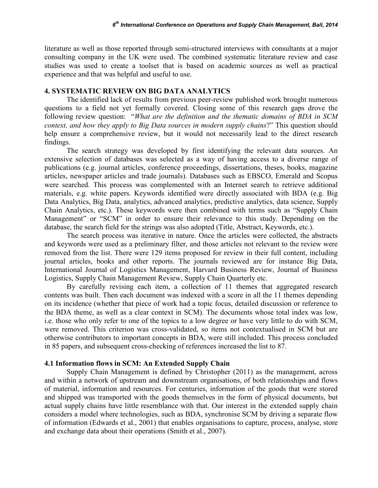literature as well as those reported through semi-structured interviews with consultants at a major consulting company in the UK were used. The combined systematic literature review and case studies was used to create a toolset that is based on academic sources as well as practical experience and that was helpful and useful to use.

### **4. SYSTEMATIC REVIEW ON BIG DATA ANALYTICS**

The identified lack of results from previous peer-review published work brought numerous questions to a field not yet formally covered. Closing some of this research gaps drove the following review question: "*What are the definition and the thematic domains of BDA in SCM context, and how they apply to Big Data sources in modern supply chains*?" This question should help ensure a comprehensive review, but it would not necessarily lead to the direct research findings.

The search strategy was developed by first identifying the relevant data sources. An extensive selection of databases was selected as a way of having access to a diverse range of publications (e.g. journal articles, conference proceedings, dissertations, theses, books, magazine articles, newspaper articles and trade journals). Databases such as EBSCO, Emerald and Scopus were searched. This process was complemented with an Internet search to retrieve additional materials, e.g. white papers. Keywords identified were directly associated with BDA (e.g. Big Data Analytics, Big Data, analytics, advanced analytics, predictive analytics, data science, Supply Chain Analytics, etc.). These keywords were then combined with terms such as "Supply Chain Management" or "SCM" in order to ensure their relevance to this study. Depending on the database, the search field for the strings was also adopted (Title, Abstract, Keywords, etc.).

The search process was iterative in nature. Once the articles were collected, the abstracts and keywords were used as a preliminary filter, and those articles not relevant to the review were removed from the list. There were 129 items proposed for review in their full content, including journal articles, books and other reports. The journals reviewed are for instance Big Data, International Journal of Logistics Management, Harvard Business Review, Journal of Business Logistics, Supply Chain Management Review, Supply Chain Quarterly etc.

By carefully revising each item, a collection of 11 themes that aggregated research contents was built. Then each document was indexed with a score in all the 11 themes depending on its incidence (whether that piece of work had a topic focus, detailed discussion or reference to the BDA theme, as well as a clear context in SCM). The documents whose total index was low, i.e. those who only refer to one of the topics to a low degree or have very little to do with SCM, were removed. This criterion was cross-validated, so items not contextualised in SCM but are otherwise contributors to important concepts in BDA, were still included. This process concluded in 85 papers, and subsequent cross-checking of references increased the list to 87.

### **4.1 Information flows in SCM: An Extended Supply Chain**

Supply Chain Management is defined by Christopher (2011) as the management, across and within a network of upstream and downstream organisations, of both relationships and flows of material, information and resources. For centuries, information of the goods that were stored and shipped was transported with the goods themselves in the form of physical documents, but actual supply chains have little resemblance with that. Our interest in the extended supply chain considers a model where technologies, such as BDA, synchronise SCM by driving a separate flow of information (Edwards et al., 2001) that enables organisations to capture, process, analyse, store and exchange data about their operations (Smith et al., 2007).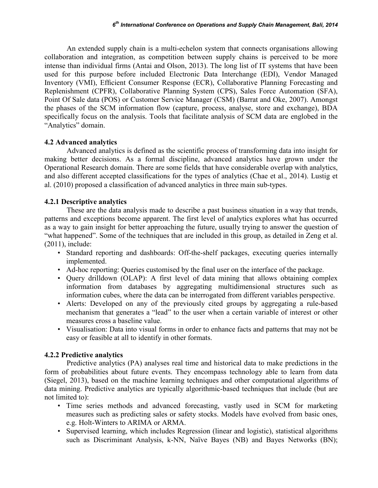An extended supply chain is a multi-echelon system that connects organisations allowing collaboration and integration, as competition between supply chains is perceived to be more intense than individual firms (Antai and Olson, 2013). The long list of IT systems that have been used for this purpose before included Electronic Data Interchange (EDI), Vendor Managed Inventory (VMI), Efficient Consumer Response (ECR), Collaborative Planning Forecasting and Replenishment (CPFR), Collaborative Planning System (CPS), Sales Force Automation (SFA), Point Of Sale data (POS) or Customer Service Manager (CSM) (Barrat and Oke, 2007). Amongst the phases of the SCM information flow (capture, process, analyse, store and exchange), BDA specifically focus on the analysis. Tools that facilitate analysis of SCM data are englobed in the "Analytics" domain.

## **4.2 Advanced analytics**

Advanced analytics is defined as the scientific process of transforming data into insight for making better decisions. As a formal discipline, advanced analytics have grown under the Operational Research domain. There are some fields that have considerable overlap with analytics, and also different accepted classifications for the types of analytics (Chae et al., 2014). Lustig et al. (2010) proposed a classification of advanced analytics in three main sub-types.

## **4.2.1 Descriptive analytics**

These are the data analysis made to describe a past business situation in a way that trends, patterns and exceptions become apparent. The first level of analytics explores what has occurred as a way to gain insight for better approaching the future, usually trying to answer the question of "what happened". Some of the techniques that are included in this group, as detailed in Zeng et al. (2011), include:

- Standard reporting and dashboards: Off-the-shelf packages, executing queries internally implemented.
- Ad-hoc reporting: Queries customised by the final user on the interface of the package.
- Query drilldown (OLAP): A first level of data mining that allows obtaining complex information from databases by aggregating multidimensional structures such as information cubes, where the data can be interrogated from different variables perspective.
- Alerts: Developed on any of the previously cited groups by aggregating a rule-based mechanism that generates a "lead" to the user when a certain variable of interest or other measures cross a baseline value.
- Visualisation: Data into visual forms in order to enhance facts and patterns that may not be easy or feasible at all to identify in other formats.

## **4.2.2 Predictive analytics**

Predictive analytics (PA) analyses real time and historical data to make predictions in the form of probabilities about future events. They encompass technology able to learn from data (Siegel, 2013), based on the machine learning techniques and other computational algorithms of data mining. Predictive analytics are typically algorithmic-based techniques that include (but are not limited to):

- Time series methods and advanced forecasting, vastly used in SCM for marketing measures such as predicting sales or safety stocks. Models have evolved from basic ones, e.g. Holt-Winters to ARIMA or ARMA.
- Supervised learning, which includes Regression (linear and logistic), statistical algorithms such as Discriminant Analysis, k-NN, Naïve Bayes (NB) and Bayes Networks (BN);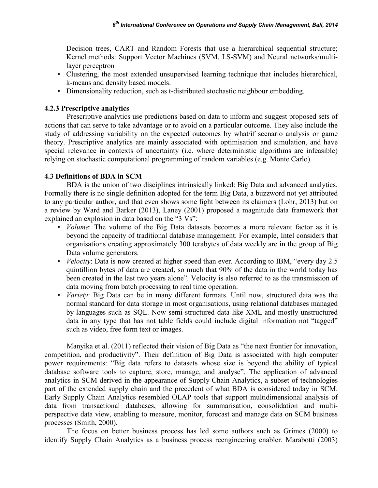Decision trees, CART and Random Forests that use a hierarchical sequential structure; Kernel methods: Support Vector Machines (SVM, LS-SVM) and Neural networks/multilayer perceptron

- Clustering, the most extended unsupervised learning technique that includes hierarchical, k-means and density based models.
- Dimensionality reduction, such as t-distributed stochastic neighbour embedding.

## **4.2.3 Prescriptive analytics**

Prescriptive analytics use predictions based on data to inform and suggest proposed sets of actions that can serve to take advantage or to avoid on a particular outcome. They also include the study of addressing variability on the expected outcomes by what/if scenario analysis or game theory. Prescriptive analytics are mainly associated with optimisation and simulation, and have special relevance in contexts of uncertainty (i.e. where deterministic algorithms are infeasible) relying on stochastic computational programming of random variables (e.g. Monte Carlo).

## **4.3 Definitions of BDA in SCM**

BDA is the union of two disciplines intrinsically linked: Big Data and advanced analytics. Formally there is no single definition adopted for the term Big Data, a buzzword not yet attributed to any particular author, and that even shows some fight between its claimers (Lohr, 2013) but on a review by Ward and Barker (2013), Laney (2001) proposed a magnitude data framework that explained an explosion in data based on the "3 Vs":

- *Volume*: The volume of the Big Data datasets becomes a more relevant factor as it is beyond the capacity of traditional database management. For example, Intel considers that organisations creating approximately 300 terabytes of data weekly are in the group of Big Data volume generators.
- *Velocity*: Data is now created at higher speed than ever. According to IBM, "every day 2.5" quintillion bytes of data are created, so much that 90% of the data in the world today has been created in the last two years alone". Velocity is also referred to as the transmission of data moving from batch processing to real time operation.
- *Variety*: Big Data can be in many different formats. Until now, structured data was the normal standard for data storage in most organisations, using relational databases managed by languages such as SQL. Now semi-structured data like XML and mostly unstructured data in any type that has not table fields could include digital information not "tagged" such as video, free form text or images.

Manyika et al. (2011) reflected their vision of Big Data as "the next frontier for innovation, competition, and productivity". Their definition of Big Data is associated with high computer power requirements: "Big data refers to datasets whose size is beyond the ability of typical database software tools to capture, store, manage, and analyse". The application of advanced analytics in SCM derived in the appearance of Supply Chain Analytics, a subset of technologies part of the extended supply chain and the precedent of what BDA is considered today in SCM. Early Supply Chain Analytics resembled OLAP tools that support multidimensional analysis of data from transactional databases, allowing for summarisation, consolidation and multiperspective data view, enabling to measure, monitor, forecast and manage data on SCM business processes (Smith, 2000).

The focus on better business process has led some authors such as Grimes (2000) to identify Supply Chain Analytics as a business process reengineering enabler. Marabotti (2003)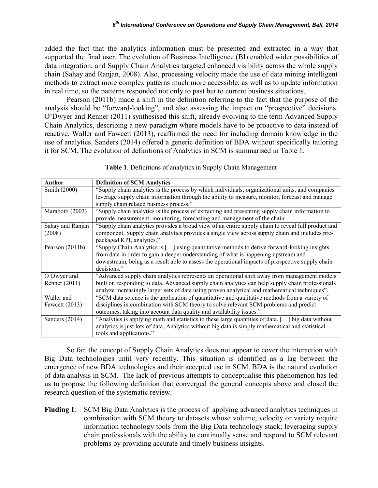added the fact that the analytics information must be presented and extracted in a way that supported the final user. The evolution of Business Intelligence (BI) enabled wider possibilities of data integration, and Supply Chain Analytics targeted enhanced visibility across the whole supply chain (Sahay and Ranjan, 2008). Also, processing velocity made the use of data mining intelligent methods to extract more complex patterns much more accessible, as well as to update information in real time, so the patterns responded not only to past but to current business situations.

Pearson (2011b) made a shift in the definition referring to the fact that the purpose of the analysis should be "forward-looking", and also assessing the impact on "prospective" decisions. O'Dwyer and Renner (2011) synthesised this shift, already evolving to the term Advanced Supply Chain Analytics, describing a new paradigm where models have to be proactive to data instead of reactive. Waller and Fawcett (2013), reaffirmed the need for including domain knowledge in the use of analytics. Sanders (2014) offered a generic definition of BDA without specifically tailoring it for SCM. The evolution of definitions of Analytics in SCM is summarised in Table 1.

| <b>Author</b>     | <b>Definition of SCM Analytics</b>                                                                 |  |  |  |
|-------------------|----------------------------------------------------------------------------------------------------|--|--|--|
| Smith (2000)      | "Supply chain analytics is the process by which individuals, organizational units, and companies   |  |  |  |
|                   | leverage supply chain information through the ability to measure, monitor, forecast and manage     |  |  |  |
|                   | supply chain related business process."                                                            |  |  |  |
| Marabotti (2003)  | "Supply chain analytics is the process of extracting and presenting supply chain information to    |  |  |  |
|                   | provide measurement, monitoring, forecasting and management of the chain.                          |  |  |  |
| Sahay and Ranjan  | "Supply chain analytics provides a broad view of an entire supply chain to reveal full product and |  |  |  |
| (2008)            | component. Supply chain analytics provides a single view across supply chain and includes pre-     |  |  |  |
|                   | packaged KPI, analytics."                                                                          |  |  |  |
| Pearson $(2011b)$ | "Supply Chain Analytics is [] using quantitative methods to derive forward-looking insights        |  |  |  |
|                   | from data in order to gain a deeper understanding of what is happening upstream and                |  |  |  |
|                   | downstream, being as a result able to assess the operational impacts of prospective supply chain   |  |  |  |
|                   | decisions."                                                                                        |  |  |  |
| O'Dwyer and       | "Advanced supply chain analytics represents an operational shift away from management models       |  |  |  |
| Renner (2011)     | built on responding to data. Advanced supply chain analytics can help supply chain professionals   |  |  |  |
|                   | analyze increasingly larger sets of data using proven analytical and mathematical techniques".     |  |  |  |
| Waller and        | "SCM data science is the application of quantitative and qualitative methods from a variety of     |  |  |  |
| Fawcett $(2013)$  | disciplines in combination with SCM theory to solve relevant SCM problems and predict              |  |  |  |
|                   | outcomes, taking into account data quality and availability issues."                               |  |  |  |
| Sanders (2014)    | "Analytics is applying math and statistics to these large quantities of data. [] big data without  |  |  |  |
|                   | analytics is just lots of data, Analytics without big data is simply mathematical and statistical  |  |  |  |
|                   | tools and applications."                                                                           |  |  |  |

**Table 1**. Definitions of analytics in Supply Chain Management

So far, the concept of Supply Chain Analytics does not appear to cover the interaction with Big Data technologies until very recently. This situation is identified as a lag between the emergence of new BDA technologies and their accepted use in SCM. BDA is the natural evolution of data analysis in SCM. The lack of previous attempts to conceptualise this phenomenon has led us to propose the following definition that converged the general concepts above and closed the research question of the systematic review.

**Finding 1**: SCM Big Data Analytics is the process of applying advanced analytics techniques in combination with SCM theory to datasets whose volume, velocity or variety require information technology tools from the Big Data technology stack; leveraging supply chain professionals with the ability to continually sense and respond to SCM relevant problems by providing accurate and timely business insights.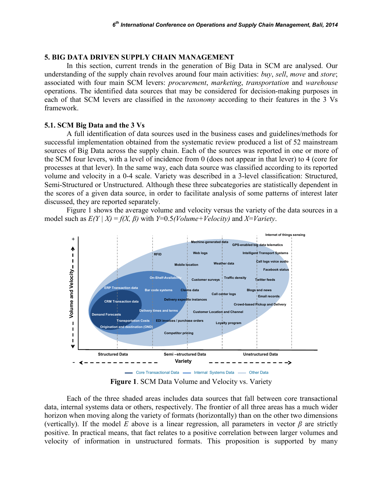#### **5. BIG DATA DRIVEN SUPPLY CHAIN MANAGEMENT**

In this section, current trends in the generation of Big Data in SCM are analysed. Our understanding of the supply chain revolves around four main activities: *buy*, *sell*, *move* and *store*; associated with four main SCM levers: *procurement*, *marketing*, *transportation* and *warehouse* operations. The identified data sources that may be considered for decision-making purposes in each of that SCM levers are classified in the *taxonomy* according to their features in the 3 Vs framework.

#### **5.1. SCM Big Data and the 3 Vs**

A full identification of data sources used in the business cases and guidelines/methods for successful implementation obtained from the systematic review produced a list of 52 mainstream sources of Big Data across the supply chain. Each of the sources was reported in one or more of the SCM four levers, with a level of incidence from 0 (does not appear in that lever) to 4 (core for processes at that lever). In the same way, each data source was classified according to its reported volume and velocity in a 0-4 scale. Variety was described in a 3-level classification: Structured, Semi-Structured or Unstructured. Although these three subcategories are statistically dependent in the scores of a given data source, in order to facilitate analysis of some patterns of interest later discussed, they are reported separately.

Figure 1 shows the average volume and velocity versus the variety of the data sources in a model such as  $E(Y | X) = f(X, \beta)$  with *Y*=0.5*(Volume+Velocity)* and *X*=*Variety*.



**Figure 1**. SCM Data Volume and Velocity vs. Variety

Each of the three shaded areas includes data sources that fall between core transactional data, internal systems data or others, respectively. The frontier of all three areas has a much wider horizon when moving along the variety of formats (horizontally) than on the other two dimensions (vertically). If the model *E* above is a linear regression, all parameters in vector  $\beta$  are strictly positive. In practical means, that fact relates to a positive correlation between larger volumes and velocity of information in unstructured formats. This proposition is supported by many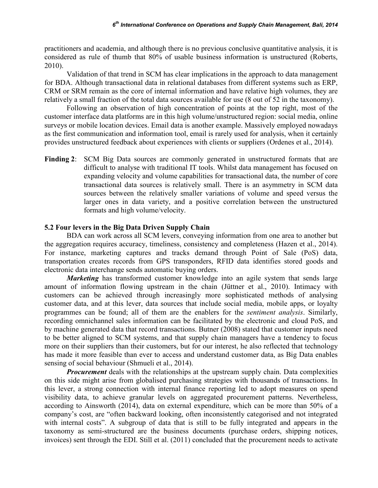practitioners and academia, and although there is no previous conclusive quantitative analysis, it is considered as rule of thumb that 80% of usable business information is unstructured (Roberts, 2010).

Validation of that trend in SCM has clear implications in the approach to data management for BDA. Although transactional data in relational databases from different systems such as ERP, CRM or SRM remain as the core of internal information and have relative high volumes, they are relatively a small fraction of the total data sources available for use (8 out of 52 in the taxonomy).

Following an observation of high concentration of points at the top right, most of the customer interface data platforms are in this high volume/unstructured region: social media, online surveys or mobile location devices. Email data is another example. Massively employed nowadays as the first communication and information tool, email is rarely used for analysis, when it certainly provides unstructured feedback about experiences with clients or suppliers (Ordenes et al., 2014).

**Finding 2**: SCM Big Data sources are commonly generated in unstructured formats that are difficult to analyse with traditional IT tools. Whilst data management has focused on expanding velocity and volume capabilities for transactional data, the number of core transactional data sources is relatively small. There is an asymmetry in SCM data sources between the relatively smaller variations of volume and speed versus the larger ones in data variety, and a positive correlation between the unstructured formats and high volume/velocity.

## **5.2 Four levers in the Big Data Driven Supply Chain**

BDA can work across all SCM levers, conveying information from one area to another but the aggregation requires accuracy, timeliness, consistency and completeness (Hazen et al., 2014). For instance, marketing captures and tracks demand through Point of Sale (PoS) data, transportation creates records from GPS transponders, RFID data identifies stored goods and electronic data interchange sends automatic buying orders.

*Marketing* has transformed customer knowledge into an agile system that sends large amount of information flowing upstream in the chain (Jüttner et al., 2010). Intimacy with customers can be achieved through increasingly more sophisticated methods of analysing customer data, and at this lever, data sources that include social media, mobile apps, or loyalty programmes can be found; all of them are the enablers for the *sentiment analysis*. Similarly, recording omnichannel sales information can be facilitated by the electronic and cloud PoS, and by machine generated data that record transactions. Butner (2008) stated that customer inputs need to be better aligned to SCM systems, and that supply chain managers have a tendency to focus more on their suppliers than their customers, but for our interest, he also reflected that technology has made it more feasible than ever to access and understand customer data, as Big Data enables sensing of social behaviour (Shmueli et al., 2014).

*Procurement* deals with the relationships at the upstream supply chain. Data complexities on this side might arise from globalised purchasing strategies with thousands of transactions. In this lever, a strong connection with internal finance reporting led to adopt measures on spend visibility data, to achieve granular levels on aggregated procurement patterns. Nevertheless, according to Ainsworth (2014), data on external expenditure, which can be more than 50% of a company's cost, are "often backward looking, often inconsistently categorised and not integrated with internal costs". A subgroup of data that is still to be fully integrated and appears in the taxonomy as semi-structured are the business documents (purchase orders, shipping notices, invoices) sent through the EDI. Still et al. (2011) concluded that the procurement needs to activate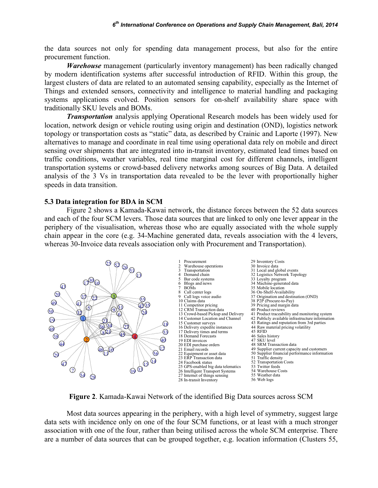the data sources not only for spending data management process, but also for the entire procurement function.

*Warehouse* management (particularly inventory management) has been radically changed by modern identification systems after successful introduction of RFID. Within this group, the largest clusters of data are related to an automated sensing capability, especially as the Internet of Things and extended sensors, connectivity and intelligence to material handling and packaging systems applications evolved. Position sensors for on-shelf availability share space with traditionally SKU levels and BOMs.

*Transportation* analysis applying Operational Research models has been widely used for location, network design or vehicle routing using origin and destination (OND), logistics network topology or transportation costs as "static" data, as described by Crainic and Laporte (1997). New alternatives to manage and coordinate in real time using operational data rely on mobile and direct sensing over shipments that are integrated into in-transit inventory, estimated lead times based on traffic conditions, weather variables, real time marginal cost for different channels, intelligent transportation systems or crowd-based delivery networks among sources of Big Data. A detailed analysis of the 3 Vs in transportation data revealed to be the lever with proportionally higher speeds in data transition.

### **5.3 Data integration for BDA in SCM**

Figure 2 shows a Kamada-Kawai network, the distance forces between the 52 data sources and each of the four SCM levers. Those data sources that are linked to only one lever appear in the periphery of the visualisation, whereas those who are equally associated with the whole supply chain appear in the core (e.g. 34-Machine generated data, reveals association with the 4 levers, whereas 30-Invoice data reveals association only with Procurement and Transportation).



**Figure 2**. Kamada-Kawai Network of the identified Big Data sources across SCM

Most data sources appearing in the periphery, with a high level of symmetry, suggest large data sets with incidence only on one of the four SCM functions, or at least with a much stronger association with one of the four, rather than being utilised across the whole SCM enterprise. There are a number of data sources that can be grouped together, e.g. location information (Clusters 55,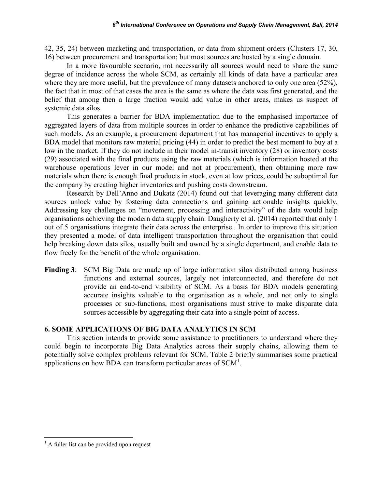42, 35, 24) between marketing and transportation, or data from shipment orders (Clusters 17, 30, 16) between procurement and transportation; but most sources are hosted by a single domain.

In a more favourable scenario, not necessarily all sources would need to share the same degree of incidence across the whole SCM, as certainly all kinds of data have a particular area where they are more useful, but the prevalence of many datasets anchored to only one area (52%), the fact that in most of that cases the area is the same as where the data was first generated, and the belief that among then a large fraction would add value in other areas, makes us suspect of systemic data silos.

This generates a barrier for BDA implementation due to the emphasised importance of aggregated layers of data from multiple sources in order to enhance the predictive capabilities of such models. As an example, a procurement department that has managerial incentives to apply a BDA model that monitors raw material pricing (44) in order to predict the best moment to buy at a low in the market. If they do not include in their model in-transit inventory (28) or inventory costs (29) associated with the final products using the raw materials (which is information hosted at the warehouse operations lever in our model and not at procurement), then obtaining more raw materials when there is enough final products in stock, even at low prices, could be suboptimal for the company by creating higher inventories and pushing costs downstream.

Research by Dell'Anno and Dukatz (2014) found out that leveraging many different data sources unlock value by fostering data connections and gaining actionable insights quickly. Addressing key challenges on "movement, processing and interactivity" of the data would help organisations achieving the modern data supply chain. Daugherty et al. (2014) reported that only 1 out of 5 organisations integrate their data across the enterprise.. In order to improve this situation they presented a model of data intelligent transportation throughout the organisation that could help breaking down data silos, usually built and owned by a single department, and enable data to flow freely for the benefit of the whole organisation.

**Finding 3**: SCM Big Data are made up of large information silos distributed among business functions and external sources, largely not interconnected, and therefore do not provide an end-to-end visibility of SCM. As a basis for BDA models generating accurate insights valuable to the organisation as a whole, and not only to single processes or sub-functions, most organisations must strive to make disparate data sources accessible by aggregating their data into a single point of access.

### **6. SOME APPLICATIONS OF BIG DATA ANALYTICS IN SCM**

This section intends to provide some assistance to practitioners to understand where they could begin to incorporate Big Data Analytics across their supply chains, allowing them to potentially solve complex problems relevant for SCM. Table 2 briefly summarises some practical applications on how BDA can transform particular areas of  $SCM<sup>1</sup>$ .

 $<sup>1</sup>$  A fuller list can be provided upon request</sup>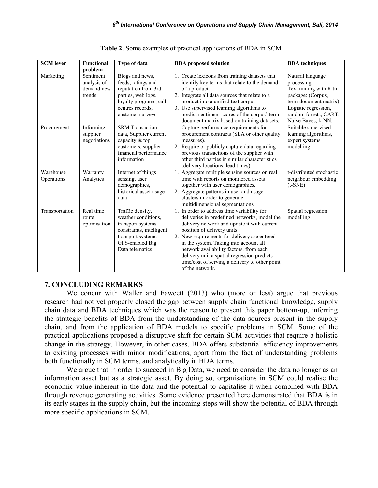| <b>SCM</b> lever        | <b>Functional</b><br>problem                     | Type of data                                                                                                                                         | <b>BDA</b> techniques<br><b>BDA</b> proposed solution                                                                                                                                                                                                                                                                                                                                                                                                                                                                               |
|-------------------------|--------------------------------------------------|------------------------------------------------------------------------------------------------------------------------------------------------------|-------------------------------------------------------------------------------------------------------------------------------------------------------------------------------------------------------------------------------------------------------------------------------------------------------------------------------------------------------------------------------------------------------------------------------------------------------------------------------------------------------------------------------------|
| Marketing               | Sentiment<br>analysis of<br>demand new<br>trends | Blogs and news,<br>feeds, ratings and<br>reputation from 3rd<br>parties, web logs,<br>loyalty programs, call<br>centres records.<br>customer surveys | 1. Create lexicons from training datasets that<br>Natural language<br>identify key terms that relate to the demand<br>processing<br>Text mining with R tm<br>of a product.<br>2. Integrate all data sources that relate to a<br>package: (Corpus,<br>product into a unified text corpus.<br>term-document matrix)<br>3. Use supervised learning algorithms to<br>Logistic regression,<br>predict sentiment scores of the corpus' term<br>random forests, CART,<br>document matrix based on training datasets.<br>Naïve Bayes, k-NN; |
| Procurement             | Informing<br>supplier<br>negotiations            | <b>SRM</b> Transaction<br>data, Supplier current<br>capacity & top<br>customers, supplier<br>financial performance<br>information                    | Suitable supervised<br>Capture performance requirements for<br>procurement contracts (SLA or other quality<br>learning algorithms,<br>measures).<br>expert systems<br>2. Require or publicly capture data regarding<br>modelling<br>previous transactions of the supplier with<br>other third parties in similar characteristics<br>(delivery locations, lead times).                                                                                                                                                               |
| Warehouse<br>Operations | Warranty<br>Analytics                            | Internet of things<br>sensing, user<br>demographics,<br>historical asset usage<br>data                                                               | t-distributed stochastic<br>1. Aggregate multiple sensing sources on real<br>time with reports on monitored assets<br>neighbour embedding<br>together with user demographics.<br>$(t-SNE)$<br>2. Aggregate patterns in user and usage<br>clusters in order to generate<br>multidimensional segmentations.                                                                                                                                                                                                                           |
| Transportation          | Real time<br>route<br>optimisation               | Traffic density,<br>weather conditions.<br>transport systems<br>constraints, intelligent<br>transport systems,<br>GPS-enabled Big<br>Data telematics | 1. In order to address time variability for<br>Spatial regression<br>deliveries in predefined networks, model the<br>modelling<br>delivery network and update it with current<br>position of delivery units.<br>2. New requirements for delivery are entered<br>in the system. Taking into account all<br>network availability factors, from each<br>delivery unit a spatial regression predicts<br>time/cost of serving a delivery to other point<br>of the network.                                                               |

| Table 2. Some examples of practical applications of BDA in SCM |  |  |
|----------------------------------------------------------------|--|--|
|----------------------------------------------------------------|--|--|

### **7. CONCLUDING REMARKS**

We concur with Waller and Fawcett (2013) who (more or less) argue that previous research had not yet properly closed the gap between supply chain functional knowledge, supply chain data and BDA techniques which was the reason to present this paper bottom-up, inferring the strategic benefits of BDA from the understanding of the data sources present in the supply chain, and from the application of BDA models to specific problems in SCM. Some of the practical applications proposed a disruptive shift for certain SCM activities that require a holistic change in the strategy. However, in other cases, BDA offers substantial efficiency improvements to existing processes with minor modifications, apart from the fact of understanding problems both functionally in SCM terms, and analytically in BDA terms.

We argue that in order to succeed in Big Data, we need to consider the data no longer as an information asset but as a strategic asset. By doing so, organisations in SCM could realise the economic value inherent in the data and the potential to capitalise it when combined with BDA through revenue generating activities. Some evidence presented here demonstrated that BDA is in its early stages in the supply chain, but the incoming steps will show the potential of BDA through more specific applications in SCM.